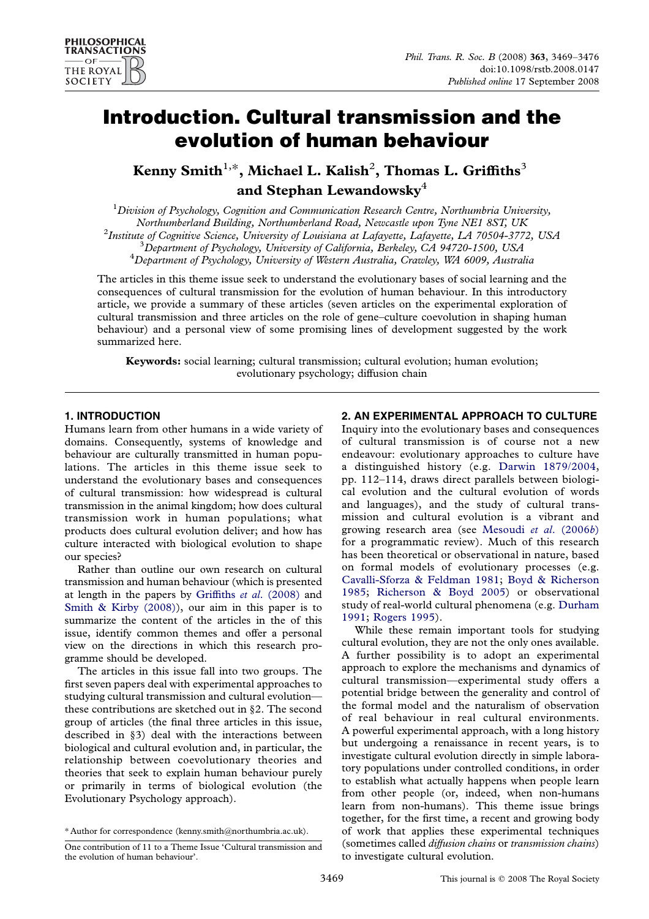# Introduction. Cultural transmission and the evolution of human behaviour

Kenny Smith $^{1,\ast},$  Michael L. Kalish $^2,$  Thomas L. Griffiths $^3$ and Stephan Lewandowsky<sup>4</sup>

 $1$ Division of Psychology, Cognition and Communication Research Centre, Northumbria University, Northumberland Building, Northumberland Road, Newcastle upon Tyne NE1 8ST, UK <sup>2</sup> <sup>2</sup>Institute of Cognitive Science, University of Louisiana at Lafayette, Lafayette, LA 70504-3772, USA <sup>3</sup>Department of Psychology, University of California, Berkeley, CA 94720-1500, USA  ${}^{4}$ Department of Psychology, University of Western Australia, Crawley, WA 6009, Australia

The articles in this theme issue seek to understand the evolutionary bases of social learning and the consequences of cultural transmission for the evolution of human behaviour. In this introductory article, we provide a summary of these articles (seven articles on the experimental exploration of cultural transmission and three articles on the role of gene–culture coevolution in shaping human behaviour) and a personal view of some promising lines of development suggested by the work summarized here.

Keywords: social learning; cultural transmission; cultural evolution; human evolution; evolutionary psychology; diffusion chain

# 1. INTRODUCTION

Humans learn from other humans in a wide variety of domains. Consequently, systems of knowledge and behaviour are culturally transmitted in human populations. The articles in this theme issue seek to understand the evolutionary bases and consequences of cultural transmission: how widespread is cultural transmission in the animal kingdom; how does cultural transmission work in human populations; what products does cultural evolution deliver; and how has culture interacted with biological evolution to shape our species?

Rather than outline our own research on cultural transmission and human behaviour (which is presented at length in the papers by Griffiths et al[. \(2008\)](#page-6-0) and [Smith & Kirby \(2008\)](#page-7-0)), our aim in this paper is to summarize the content of the articles in the of this issue, identify common themes and offer a personal view on the directions in which this research programme should be developed.

The articles in this issue fall into two groups. The first seven papers deal with experimental approaches to studying cultural transmission and cultural evolution these contributions are sketched out in §2. The second group of articles (the final three articles in this issue, described in §3) deal with the interactions between biological and cultural evolution and, in particular, the relationship between coevolutionary theories and theories that seek to explain human behaviour purely or primarily in terms of biological evolution (the Evolutionary Psychology approach).

# 2. AN EXPERIMENTAL APPROACH TO CULTURE

Inquiry into the evolutionary bases and consequences of cultural transmission is of course not a new endeavour: evolutionary approaches to culture have a distinguished history (e.g. [Darwin 1879/2004,](#page-6-0) pp. 112–114, draws direct parallels between biological evolution and the cultural evolution of words and languages), and the study of cultural transmission and cultural evolution is a vibrant and growing research area (see [Mesoudi](#page-7-0) et al. (2006b) for a programmatic review). Much of this research has been theoretical or observational in nature, based on formal models of evolutionary processes (e.g. [Cavalli-Sforza & Feldman 1981](#page-6-0); [Boyd & Richerson](#page-6-0) [1985;](#page-6-0) [Richerson & Boyd 2005\)](#page-7-0) or observational study of real-world cultural phenomena (e.g. [Durham](#page-6-0) [1991;](#page-6-0) [Rogers 1995\)](#page-7-0).

While these remain important tools for studying cultural evolution, they are not the only ones available. A further possibility is to adopt an experimental approach to explore the mechanisms and dynamics of cultural transmission—experimental study offers a potential bridge between the generality and control of the formal model and the naturalism of observation of real behaviour in real cultural environments. A powerful experimental approach, with a long history but undergoing a renaissance in recent years, is to investigate cultural evolution directly in simple laboratory populations under controlled conditions, in order to establish what actually happens when people learn from other people (or, indeed, when non-humans learn from non-humans). This theme issue brings together, for the first time, a recent and growing body of work that applies these experimental techniques (sometimes called diffusion chains or transmission chains) to investigate cultural evolution.

<sup>\*</sup> Author for correspondence (kenny.smith@northumbria.ac.uk).

One contribution of 11 to a Theme Issue 'Cultural transmission and the evolution of human behaviour'.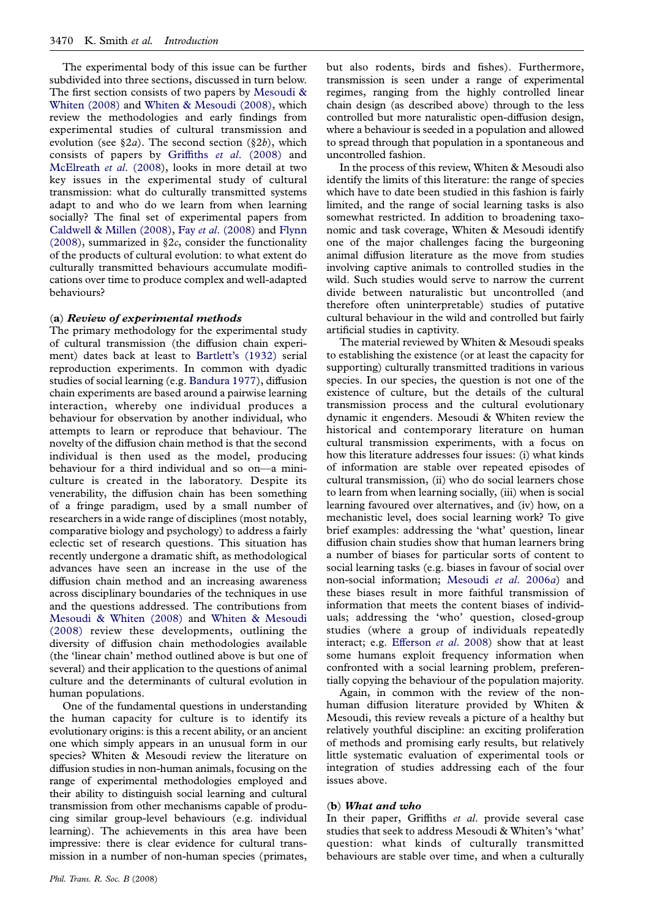The experimental body of this issue can be further subdivided into three sections, discussed in turn below. The first section consists of two papers by [Mesoudi &](#page-7-0) [Whiten \(2008\)](#page-7-0) and [Whiten & Mesoudi \(2008\),](#page-7-0) which review the methodologies and early findings from experimental studies of cultural transmission and evolution (see  $\S 2a$ ). The second section ( $\S 2b$ ), which consists of papers by Griffiths et al[. \(2008\)](#page-6-0) and [McElreath](#page-7-0) et al. (2008), looks in more detail at two key issues in the experimental study of cultural transmission: what do culturally transmitted systems adapt to and who do we learn from when learning socially? The final set of experimental papers from [Caldwell & Millen \(2008\),](#page-6-0) Fay et al[. \(2008\)](#page-6-0) and [Flynn](#page-6-0) [\(2008](#page-6-0)), summarized in  $\S 2c$ , consider the functionality of the products of cultural evolution: to what extent do culturally transmitted behaviours accumulate modifications over time to produce complex and well-adapted behaviours?

## (a) Review of experimental methods

The primary methodology for the experimental study of cultural transmission (the diffusion chain experiment) dates back at least to [Bartlett's \(1932\)](#page-6-0) serial reproduction experiments. In common with dyadic studies of social learning (e.g. [Bandura 1977\)](#page-6-0), diffusion chain experiments are based around a pairwise learning interaction, whereby one individual produces a behaviour for observation by another individual, who attempts to learn or reproduce that behaviour. The novelty of the diffusion chain method is that the second individual is then used as the model, producing behaviour for a third individual and so on—a miniculture is created in the laboratory. Despite its venerability, the diffusion chain has been something of a fringe paradigm, used by a small number of researchers in a wide range of disciplines (most notably, comparative biology and psychology) to address a fairly eclectic set of research questions. This situation has recently undergone a dramatic shift, as methodological advances have seen an increase in the use of the diffusion chain method and an increasing awareness across disciplinary boundaries of the techniques in use and the questions addressed. The contributions from [Mesoudi & Whiten \(2008\)](#page-7-0) and [Whiten & Mesoudi](#page-7-0) [\(2008\)](#page-7-0) review these developments, outlining the diversity of diffusion chain methodologies available (the 'linear chain' method outlined above is but one of several) and their application to the questions of animal culture and the determinants of cultural evolution in human populations.

One of the fundamental questions in understanding the human capacity for culture is to identify its evolutionary origins: is this a recent ability, or an ancient one which simply appears in an unusual form in our species? Whiten & Mesoudi review the literature on diffusion studies in non-human animals, focusing on the range of experimental methodologies employed and their ability to distinguish social learning and cultural transmission from other mechanisms capable of producing similar group-level behaviours (e.g. individual learning). The achievements in this area have been impressive: there is clear evidence for cultural transmission in a number of non-human species (primates,

but also rodents, birds and fishes). Furthermore, transmission is seen under a range of experimental regimes, ranging from the highly controlled linear chain design (as described above) through to the less controlled but more naturalistic open-diffusion design, where a behaviour is seeded in a population and allowed to spread through that population in a spontaneous and uncontrolled fashion.

In the process of this review, Whiten & Mesoudi also identify the limits of this literature: the range of species which have to date been studied in this fashion is fairly limited, and the range of social learning tasks is also somewhat restricted. In addition to broadening taxonomic and task coverage, Whiten & Mesoudi identify one of the major challenges facing the burgeoning animal diffusion literature as the move from studies involving captive animals to controlled studies in the wild. Such studies would serve to narrow the current divide between naturalistic but uncontrolled (and therefore often uninterpretable) studies of putative cultural behaviour in the wild and controlled but fairly artificial studies in captivity.

The material reviewed by Whiten & Mesoudi speaks to establishing the existence (or at least the capacity for supporting) culturally transmitted traditions in various species. In our species, the question is not one of the existence of culture, but the details of the cultural transmission process and the cultural evolutionary dynamic it engenders. Mesoudi & Whiten review the historical and contemporary literature on human cultural transmission experiments, with a focus on how this literature addresses four issues: (i) what kinds of information are stable over repeated episodes of cultural transmission, (ii) who do social learners chose to learn from when learning socially, (iii) when is social learning favoured over alternatives, and (iv) how, on a mechanistic level, does social learning work? To give brief examples: addressing the 'what' question, linear diffusion chain studies show that human learners bring a number of biases for particular sorts of content to social learning tasks (e.g. biases in favour of social over non-social information; [Mesoudi](#page-7-0) et al. 2006a) and these biases result in more faithful transmission of information that meets the content biases of individuals; addressing the 'who' question, closed-group studies (where a group of individuals repeatedly interact; e.g. [Efferson](#page-6-0) *et al.* 2008) show that at least some humans exploit frequency information when confronted with a social learning problem, preferentially copying the behaviour of the population majority.

Again, in common with the review of the nonhuman diffusion literature provided by Whiten & Mesoudi, this review reveals a picture of a healthy but relatively youthful discipline: an exciting proliferation of methods and promising early results, but relatively little systematic evaluation of experimental tools or integration of studies addressing each of the four issues above.

## (b) What and who

In their paper, Griffiths et al. provide several case studies that seek to address Mesoudi & Whiten's 'what' question: what kinds of culturally transmitted behaviours are stable over time, and when a culturally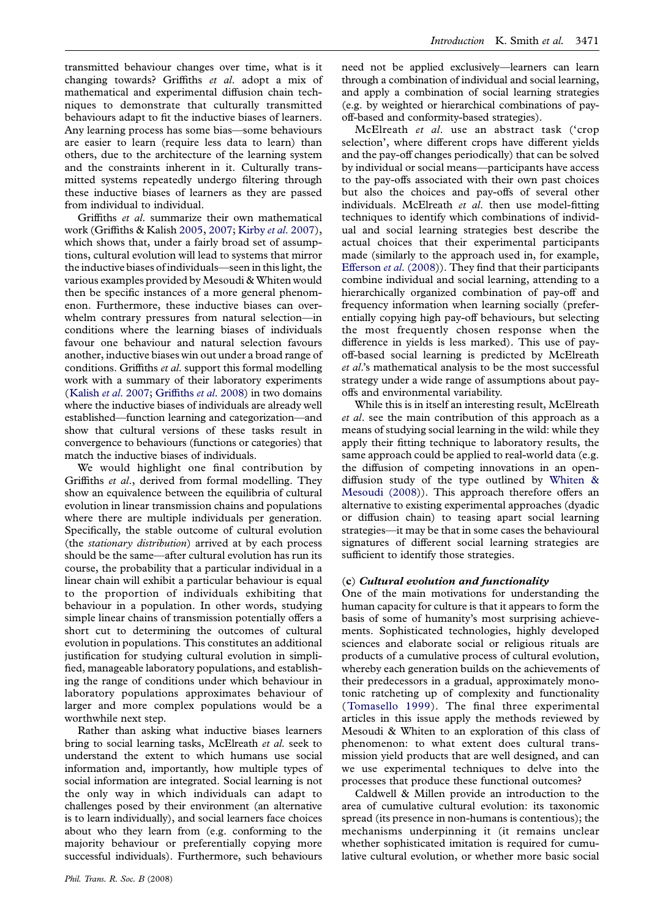transmitted behaviour changes over time, what is it changing towards? Griffiths et al. adopt a mix of mathematical and experimental diffusion chain techniques to demonstrate that culturally transmitted behaviours adapt to fit the inductive biases of learners. Any learning process has some bias—some behaviours are easier to learn (require less data to learn) than others, due to the architecture of the learning system and the constraints inherent in it. Culturally transmitted systems repeatedly undergo filtering through these inductive biases of learners as they are passed from individual to individual.

Griffiths et al. summarize their own mathematical work (Griffiths & Kalish [2005](#page-6-0), [2007](#page-6-0); Kirby et al[. 2007\)](#page-6-0), which shows that, under a fairly broad set of assumptions, cultural evolution will lead to systems that mirror the inductive biases of individuals—seen in this light, the various examples provided by Mesoudi & Whiten would then be specific instances of a more general phenomenon. Furthermore, these inductive biases can overwhelm contrary pressures from natural selection—in conditions where the learning biases of individuals favour one behaviour and natural selection favours another, inductive biases win out under a broad range of conditions. Griffiths et al. support this formal modelling work with a summary of their laboratory experiments ([Kalish](#page-6-0) et al. 2007; [Griffiths](#page-6-0) et al. 2008) in two domains where the inductive biases of individuals are already well established—function learning and categorization—and show that cultural versions of these tasks result in convergence to behaviours (functions or categories) that match the inductive biases of individuals.

We would highlight one final contribution by Griffiths et al., derived from formal modelling. They show an equivalence between the equilibria of cultural evolution in linear transmission chains and populations where there are multiple individuals per generation. Specifically, the stable outcome of cultural evolution (the stationary distribution) arrived at by each process should be the same—after cultural evolution has run its course, the probability that a particular individual in a linear chain will exhibit a particular behaviour is equal to the proportion of individuals exhibiting that behaviour in a population. In other words, studying simple linear chains of transmission potentially offers a short cut to determining the outcomes of cultural evolution in populations. This constitutes an additional justification for studying cultural evolution in simplified, manageable laboratory populations, and establishing the range of conditions under which behaviour in laboratory populations approximates behaviour of larger and more complex populations would be a worthwhile next step.

Rather than asking what inductive biases learners bring to social learning tasks, McElreath et al. seek to understand the extent to which humans use social information and, importantly, how multiple types of social information are integrated. Social learning is not the only way in which individuals can adapt to challenges posed by their environment (an alternative is to learn individually), and social learners face choices about who they learn from (e.g. conforming to the majority behaviour or preferentially copying more successful individuals). Furthermore, such behaviours need not be applied exclusively—learners can learn through a combination of individual and social learning, and apply a combination of social learning strategies (e.g. by weighted or hierarchical combinations of payoff-based and conformity-based strategies).

McElreath et al. use an abstract task ('crop selection', where different crops have different yields and the pay-off changes periodically) that can be solved by individual or social means—participants have access to the pay-offs associated with their own past choices but also the choices and pay-offs of several other individuals. McElreath et al. then use model-fitting techniques to identify which combinations of individual and social learning strategies best describe the actual choices that their experimental participants made (similarly to the approach used in, for example, [Efferson](#page-6-0) et al. (2008)). They find that their participants combine individual and social learning, attending to a hierarchically organized combination of pay-off and frequency information when learning socially (preferentially copying high pay-off behaviours, but selecting the most frequently chosen response when the difference in yields is less marked). This use of payoff-based social learning is predicted by McElreath et al.'s mathematical analysis to be the most successful strategy under a wide range of assumptions about payoffs and environmental variability.

While this is in itself an interesting result, McElreath et al. see the main contribution of this approach as a means of studying social learning in the wild: while they apply their fitting technique to laboratory results, the same approach could be applied to real-world data (e.g. the diffusion of competing innovations in an opendiffusion study of the type outlined by [Whiten &](#page-7-0) [Mesoudi \(2008](#page-7-0))). This approach therefore offers an alternative to existing experimental approaches (dyadic or diffusion chain) to teasing apart social learning strategies—it may be that in some cases the behavioural signatures of different social learning strategies are sufficient to identify those strategies.

## (c) Cultural evolution and functionality

One of the main motivations for understanding the human capacity for culture is that it appears to form the basis of some of humanity's most surprising achievements. Sophisticated technologies, highly developed sciences and elaborate social or religious rituals are products of a cumulative process of cultural evolution, whereby each generation builds on the achievements of their predecessors in a gradual, approximately monotonic ratcheting up of complexity and functionality ([Tomasello 1999\)](#page-7-0). The final three experimental articles in this issue apply the methods reviewed by Mesoudi & Whiten to an exploration of this class of phenomenon: to what extent does cultural transmission yield products that are well designed, and can we use experimental techniques to delve into the processes that produce these functional outcomes?

Caldwell & Millen provide an introduction to the area of cumulative cultural evolution: its taxonomic spread (its presence in non-humans is contentious); the mechanisms underpinning it (it remains unclear whether sophisticated imitation is required for cumulative cultural evolution, or whether more basic social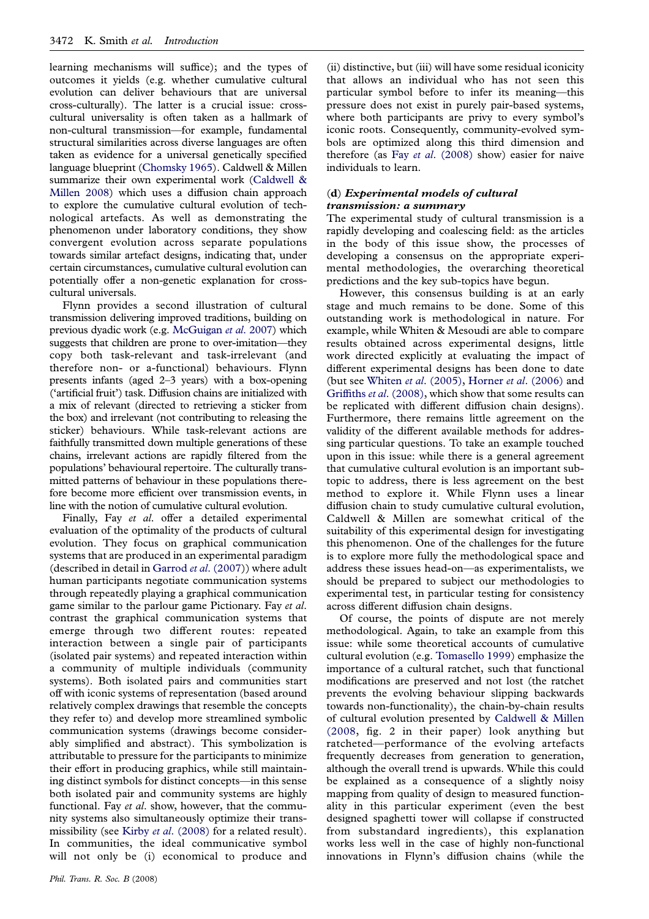learning mechanisms will suffice); and the types of outcomes it yields (e.g. whether cumulative cultural evolution can deliver behaviours that are universal cross-culturally). The latter is a crucial issue: crosscultural universality is often taken as a hallmark of non-cultural transmission—for example, fundamental structural similarities across diverse languages are often taken as evidence for a universal genetically specified language blueprint [\(Chomsky 1965\)](#page-6-0). Caldwell & Millen summarize their own experimental work [\(Caldwell &](#page-6-0) [Millen 2008](#page-6-0)) which uses a diffusion chain approach to explore the cumulative cultural evolution of technological artefacts. As well as demonstrating the phenomenon under laboratory conditions, they show convergent evolution across separate populations towards similar artefact designs, indicating that, under certain circumstances, cumulative cultural evolution can potentially offer a non-genetic explanation for crosscultural universals.

Flynn provides a second illustration of cultural transmission delivering improved traditions, building on previous dyadic work (e.g. [McGuigan](#page-7-0) et al. 2007) which suggests that children are prone to over-imitation—they copy both task-relevant and task-irrelevant (and therefore non- or a-functional) behaviours. Flynn presents infants (aged 2–3 years) with a box-opening ('artificial fruit') task. Diffusion chains are initialized with a mix of relevant (directed to retrieving a sticker from the box) and irrelevant (not contributing to releasing the sticker) behaviours. While task-relevant actions are faithfully transmitted down multiple generations of these chains, irrelevant actions are rapidly filtered from the populations' behavioural repertoire. The culturally transmitted patterns of behaviour in these populations therefore become more efficient over transmission events, in line with the notion of cumulative cultural evolution.

Finally, Fay et al. offer a detailed experimental evaluation of the optimality of the products of cultural evolution. They focus on graphical communication systems that are produced in an experimental paradigm (described in detail in [Garrod](#page-6-0) et al. (2007)) where adult human participants negotiate communication systems through repeatedly playing a graphical communication game similar to the parlour game Pictionary. Fay et al. contrast the graphical communication systems that emerge through two different routes: repeated interaction between a single pair of participants (isolated pair systems) and repeated interaction within a community of multiple individuals (community systems). Both isolated pairs and communities start off with iconic systems of representation (based around relatively complex drawings that resemble the concepts they refer to) and develop more streamlined symbolic communication systems (drawings become considerably simplified and abstract). This symbolization is attributable to pressure for the participants to minimize their effort in producing graphics, while still maintaining distinct symbols for distinct concepts—in this sense both isolated pair and community systems are highly functional. Fay et al. show, however, that the community systems also simultaneously optimize their trans-missibility (see Kirby et al[. \(2008\)](#page-7-0) for a related result). In communities, the ideal communicative symbol will not only be (i) economical to produce and

(ii) distinctive, but (iii) will have some residual iconicity that allows an individual who has not seen this particular symbol before to infer its meaning—this pressure does not exist in purely pair-based systems, where both participants are privy to every symbol's iconic roots. Consequently, community-evolved symbols are optimized along this third dimension and therefore (as Fay et al[. \(2008\)](#page-6-0) show) easier for naive individuals to learn.

## (d) Experimental models of cultural transmission: a summary

The experimental study of cultural transmission is a rapidly developing and coalescing field: as the articles in the body of this issue show, the processes of developing a consensus on the appropriate experimental methodologies, the overarching theoretical predictions and the key sub-topics have begun.

However, this consensus building is at an early stage and much remains to be done. Some of this outstanding work is methodological in nature. For example, while Whiten & Mesoudi are able to compare results obtained across experimental designs, little work directed explicitly at evaluating the impact of different experimental designs has been done to date (but see Whiten et al[. \(2005\),](#page-7-0) Horner et al[. \(2006\)](#page-6-0) and [Griffiths](#page-6-0) *et al.* (2008), which show that some results can be replicated with different diffusion chain designs). Furthermore, there remains little agreement on the validity of the different available methods for addressing particular questions. To take an example touched upon in this issue: while there is a general agreement that cumulative cultural evolution is an important subtopic to address, there is less agreement on the best method to explore it. While Flynn uses a linear diffusion chain to study cumulative cultural evolution, Caldwell & Millen are somewhat critical of the suitability of this experimental design for investigating this phenomenon. One of the challenges for the future is to explore more fully the methodological space and address these issues head-on—as experimentalists, we should be prepared to subject our methodologies to experimental test, in particular testing for consistency across different diffusion chain designs.

Of course, the points of dispute are not merely methodological. Again, to take an example from this issue: while some theoretical accounts of cumulative cultural evolution (e.g. [Tomasello 1999](#page-7-0)) emphasize the importance of a cultural ratchet, such that functional modifications are preserved and not lost (the ratchet prevents the evolving behaviour slipping backwards towards non-functionality), the chain-by-chain results of cultural evolution presented by [Caldwell & Millen](#page-6-0) [\(2008](#page-6-0), fig. 2 in their paper) look anything but ratcheted—performance of the evolving artefacts frequently decreases from generation to generation, although the overall trend is upwards. While this could be explained as a consequence of a slightly noisy mapping from quality of design to measured functionality in this particular experiment (even the best designed spaghetti tower will collapse if constructed from substandard ingredients), this explanation works less well in the case of highly non-functional innovations in Flynn's diffusion chains (while the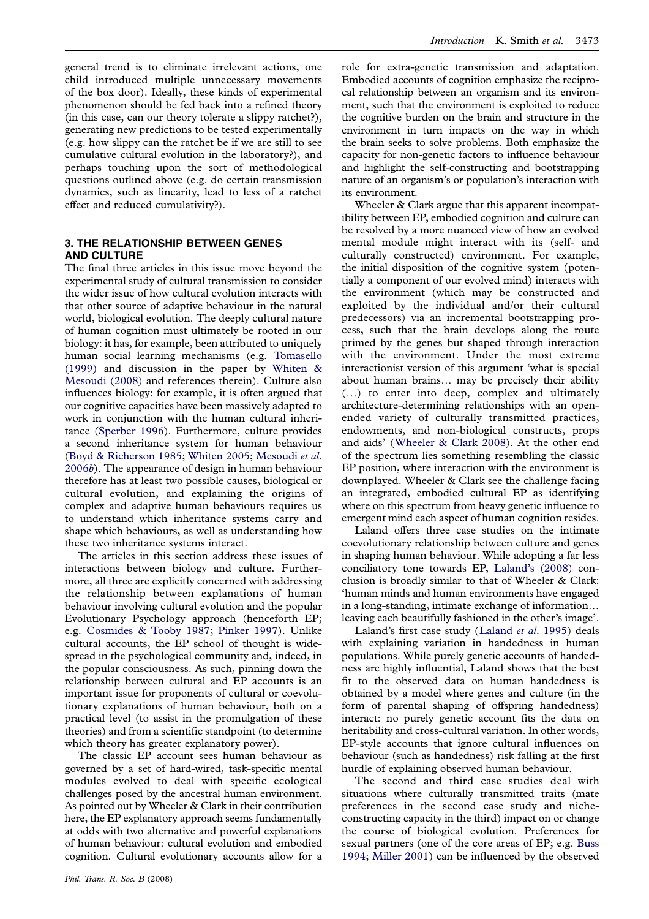general trend is to eliminate irrelevant actions, one child introduced multiple unnecessary movements of the box door). Ideally, these kinds of experimental phenomenon should be fed back into a refined theory (in this case, can our theory tolerate a slippy ratchet?), generating new predictions to be tested experimentally (e.g. how slippy can the ratchet be if we are still to see cumulative cultural evolution in the laboratory?), and perhaps touching upon the sort of methodological questions outlined above (e.g. do certain transmission dynamics, such as linearity, lead to less of a ratchet effect and reduced cumulativity?).

# 3. THE RELATIONSHIP BETWEEN GENES AND CULTURE

The final three articles in this issue move beyond the experimental study of cultural transmission to consider the wider issue of how cultural evolution interacts with that other source of adaptive behaviour in the natural world, biological evolution. The deeply cultural nature of human cognition must ultimately be rooted in our biology: it has, for example, been attributed to uniquely human social learning mechanisms (e.g. [Tomasello](#page-7-0) [\(1999\)](#page-7-0) and discussion in the paper by [Whiten &](#page-7-0) [Mesoudi \(2008\)](#page-7-0) and references therein). Culture also influences biology: for example, it is often argued that our cognitive capacities have been massively adapted to work in conjunction with the human cultural inheritance [\(Sperber 1996](#page-7-0)). Furthermore, culture provides a second inheritance system for human behaviour [\(Boyd & Richerson 1985;](#page-6-0) [Whiten 2005](#page-7-0); [Mesoudi](#page-7-0) et al. [2006](#page-7-0)b). The appearance of design in human behaviour therefore has at least two possible causes, biological or cultural evolution, and explaining the origins of complex and adaptive human behaviours requires us to understand which inheritance systems carry and shape which behaviours, as well as understanding how these two inheritance systems interact.

The articles in this section address these issues of interactions between biology and culture. Furthermore, all three are explicitly concerned with addressing the relationship between explanations of human behaviour involving cultural evolution and the popular Evolutionary Psychology approach (henceforth EP; e.g. [Cosmides & Tooby 1987;](#page-6-0) [Pinker 1997\)](#page-7-0). Unlike cultural accounts, the EP school of thought is widespread in the psychological community and, indeed, in the popular consciousness. As such, pinning down the relationship between cultural and EP accounts is an important issue for proponents of cultural or coevolutionary explanations of human behaviour, both on a practical level (to assist in the promulgation of these theories) and from a scientific standpoint (to determine which theory has greater explanatory power).

The classic EP account sees human behaviour as governed by a set of hard-wired, task-specific mental modules evolved to deal with specific ecological challenges posed by the ancestral human environment. As pointed out by Wheeler & Clark in their contribution here, the EP explanatory approach seems fundamentally at odds with two alternative and powerful explanations of human behaviour: cultural evolution and embodied cognition. Cultural evolutionary accounts allow for a role for extra-genetic transmission and adaptation. Embodied accounts of cognition emphasize the reciprocal relationship between an organism and its environment, such that the environment is exploited to reduce the cognitive burden on the brain and structure in the environment in turn impacts on the way in which the brain seeks to solve problems. Both emphasize the capacity for non-genetic factors to influence behaviour and highlight the self-constructing and bootstrapping nature of an organism's or population's interaction with its environment.

Wheeler & Clark argue that this apparent incompatibility between EP, embodied cognition and culture can be resolved by a more nuanced view of how an evolved mental module might interact with its (self- and culturally constructed) environment. For example, the initial disposition of the cognitive system (potentially a component of our evolved mind) interacts with the environment (which may be constructed and exploited by the individual and/or their cultural predecessors) via an incremental bootstrapping process, such that the brain develops along the route primed by the genes but shaped through interaction with the environment. Under the most extreme interactionist version of this argument 'what is special about human brains... may be precisely their ability (...) to enter into deep, complex and ultimately architecture-determining relationships with an openended variety of culturally transmitted practices, endowments, and non-biological constructs, props and aids' ([Wheeler & Clark 2008\)](#page-7-0). At the other end of the spectrum lies something resembling the classic EP position, where interaction with the environment is downplayed. Wheeler & Clark see the challenge facing an integrated, embodied cultural EP as identifying where on this spectrum from heavy genetic influence to emergent mind each aspect of human cognition resides.

Laland offers three case studies on the intimate coevolutionary relationship between culture and genes in shaping human behaviour. While adopting a far less conciliatory tone towards EP, [Laland's \(2008\)](#page-7-0) conclusion is broadly similar to that of Wheeler & Clark: 'human minds and human environments have engaged in a long-standing, intimate exchange of information. leaving each beautifully fashioned in the other's image'.

[Laland](#page-7-0)'s first case study (Laland et al. 1995) deals with explaining variation in handedness in human populations. While purely genetic accounts of handedness are highly influential, Laland shows that the best fit to the observed data on human handedness is obtained by a model where genes and culture (in the form of parental shaping of offspring handedness) interact: no purely genetic account fits the data on heritability and cross-cultural variation. In other words, EP-style accounts that ignore cultural influences on behaviour (such as handedness) risk falling at the first hurdle of explaining observed human behaviour.

The second and third case studies deal with situations where culturally transmitted traits (mate preferences in the second case study and nicheconstructing capacity in the third) impact on or change the course of biological evolution. Preferences for sexual partners (one of the core areas of EP; e.g. [Buss](#page-6-0) [1994](#page-6-0); [Miller 2001](#page-7-0)) can be influenced by the observed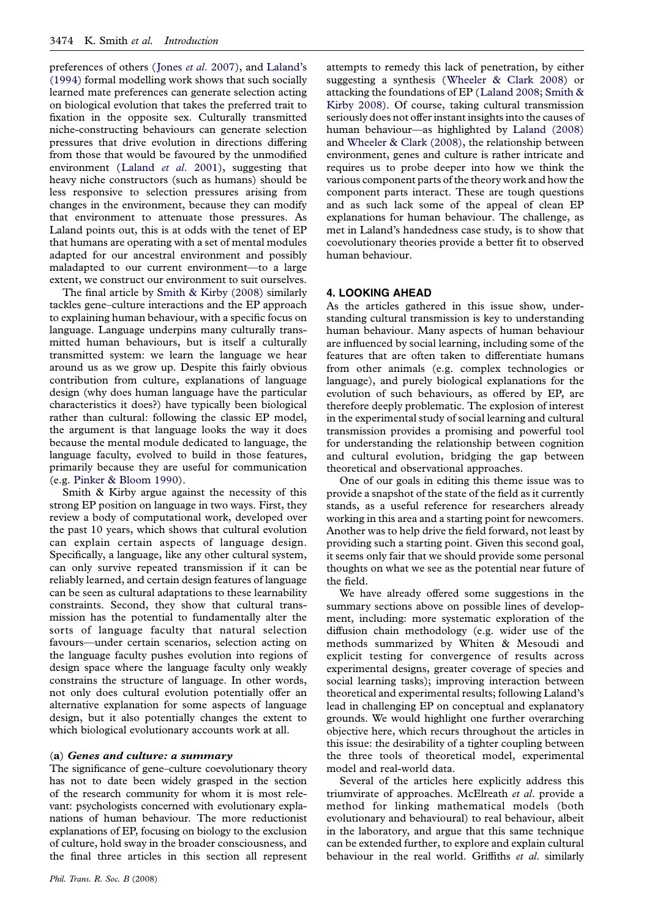preferences of others (Jones et al[. 2007](#page-6-0)), and [Laland's](#page-7-0) [\(1994\)](#page-7-0) formal modelling work shows that such socially learned mate preferences can generate selection acting on biological evolution that takes the preferred trait to fixation in the opposite sex. Culturally transmitted niche-constructing behaviours can generate selection pressures that drive evolution in directions differing from those that would be favoured by the unmodified environment (Laland et al[. 2001](#page-7-0)), suggesting that heavy niche constructors (such as humans) should be less responsive to selection pressures arising from changes in the environment, because they can modify that environment to attenuate those pressures. As Laland points out, this is at odds with the tenet of EP that humans are operating with a set of mental modules adapted for our ancestral environment and possibly maladapted to our current environment—to a large extent, we construct our environment to suit ourselves.

The final article by [Smith & Kirby \(2008\)](#page-7-0) similarly tackles gene–culture interactions and the EP approach to explaining human behaviour, with a specific focus on language. Language underpins many culturally transmitted human behaviours, but is itself a culturally transmitted system: we learn the language we hear around us as we grow up. Despite this fairly obvious contribution from culture, explanations of language design (why does human language have the particular characteristics it does?) have typically been biological rather than cultural: following the classic EP model, the argument is that language looks the way it does because the mental module dedicated to language, the language faculty, evolved to build in those features, primarily because they are useful for communication (e.g. [Pinker & Bloom 1990](#page-7-0)).

Smith & Kirby argue against the necessity of this strong EP position on language in two ways. First, they review a body of computational work, developed over the past 10 years, which shows that cultural evolution can explain certain aspects of language design. Specifically, a language, like any other cultural system, can only survive repeated transmission if it can be reliably learned, and certain design features of language can be seen as cultural adaptations to these learnability constraints. Second, they show that cultural transmission has the potential to fundamentally alter the sorts of language faculty that natural selection favours—under certain scenarios, selection acting on the language faculty pushes evolution into regions of design space where the language faculty only weakly constrains the structure of language. In other words, not only does cultural evolution potentially offer an alternative explanation for some aspects of language design, but it also potentially changes the extent to which biological evolutionary accounts work at all.

#### (a) Genes and culture: a summary

The significance of gene–culture coevolutionary theory has not to date been widely grasped in the section of the research community for whom it is most relevant: psychologists concerned with evolutionary explanations of human behaviour. The more reductionist explanations of EP, focusing on biology to the exclusion of culture, hold sway in the broader consciousness, and the final three articles in this section all represent attempts to remedy this lack of penetration, by either suggesting a synthesis ([Wheeler & Clark 2008\)](#page-7-0) or attacking the foundations of EP ([Laland 2008;](#page-7-0) [Smith &](#page-7-0) [Kirby 2008](#page-7-0)). Of course, taking cultural transmission seriously does not offer instant insights into the causes of human behaviour—as highlighted by [Laland \(2008\)](#page-7-0) and [Wheeler & Clark \(2008\),](#page-7-0) the relationship between environment, genes and culture is rather intricate and requires us to probe deeper into how we think the various component parts of the theory work and how the component parts interact. These are tough questions and as such lack some of the appeal of clean EP explanations for human behaviour. The challenge, as met in Laland's handedness case study, is to show that coevolutionary theories provide a better fit to observed human behaviour.

#### 4. LOOKING AHEAD

As the articles gathered in this issue show, understanding cultural transmission is key to understanding human behaviour. Many aspects of human behaviour are influenced by social learning, including some of the features that are often taken to differentiate humans from other animals (e.g. complex technologies or language), and purely biological explanations for the evolution of such behaviours, as offered by EP, are therefore deeply problematic. The explosion of interest in the experimental study of social learning and cultural transmission provides a promising and powerful tool for understanding the relationship between cognition and cultural evolution, bridging the gap between theoretical and observational approaches.

One of our goals in editing this theme issue was to provide a snapshot of the state of the field as it currently stands, as a useful reference for researchers already working in this area and a starting point for newcomers. Another was to help drive the field forward, not least by providing such a starting point. Given this second goal, it seems only fair that we should provide some personal thoughts on what we see as the potential near future of the field.

We have already offered some suggestions in the summary sections above on possible lines of development, including: more systematic exploration of the diffusion chain methodology (e.g. wider use of the methods summarized by Whiten & Mesoudi and explicit testing for convergence of results across experimental designs, greater coverage of species and social learning tasks); improving interaction between theoretical and experimental results; following Laland's lead in challenging EP on conceptual and explanatory grounds. We would highlight one further overarching objective here, which recurs throughout the articles in this issue: the desirability of a tighter coupling between the three tools of theoretical model, experimental model and real-world data.

Several of the articles here explicitly address this triumvirate of approaches. McElreath et al. provide a method for linking mathematical models (both evolutionary and behavioural) to real behaviour, albeit in the laboratory, and argue that this same technique can be extended further, to explore and explain cultural behaviour in the real world. Griffiths et al. similarly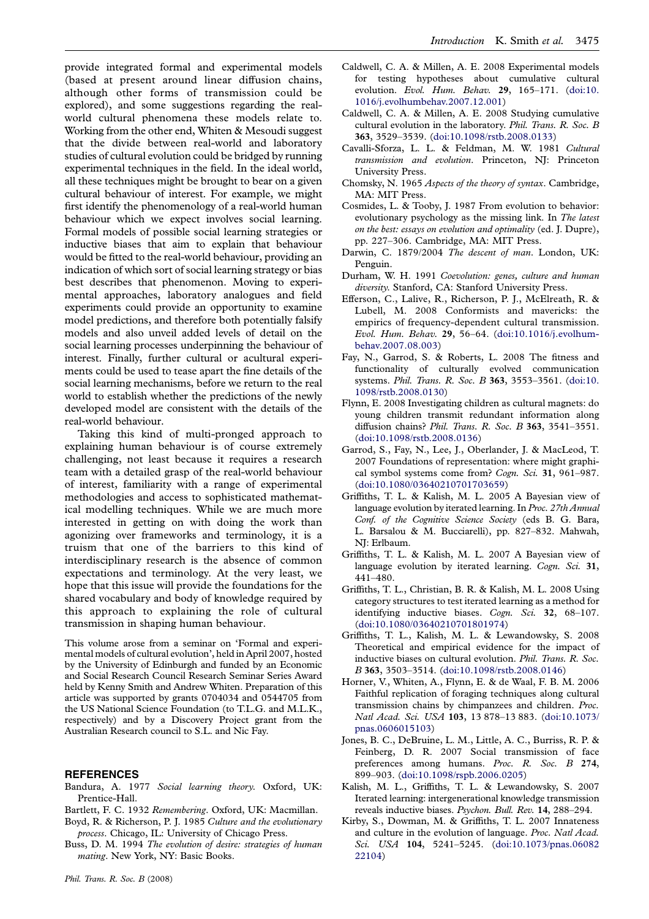<span id="page-6-0"></span>provide integrated formal and experimental models (based at present around linear diffusion chains, although other forms of transmission could be explored), and some suggestions regarding the realworld cultural phenomena these models relate to. Working from the other end, Whiten & Mesoudi suggest that the divide between real-world and laboratory studies of cultural evolution could be bridged by running experimental techniques in the field. In the ideal world, all these techniques might be brought to bear on a given cultural behaviour of interest. For example, we might first identify the phenomenology of a real-world human behaviour which we expect involves social learning. Formal models of possible social learning strategies or inductive biases that aim to explain that behaviour would be fitted to the real-world behaviour, providing an indication of which sort of social learning strategy or bias best describes that phenomenon. Moving to experimental approaches, laboratory analogues and field experiments could provide an opportunity to examine model predictions, and therefore both potentially falsify models and also unveil added levels of detail on the social learning processes underpinning the behaviour of interest. Finally, further cultural or acultural experiments could be used to tease apart the fine details of the social learning mechanisms, before we return to the real world to establish whether the predictions of the newly developed model are consistent with the details of the real-world behaviour.

Taking this kind of multi-pronged approach to explaining human behaviour is of course extremely challenging, not least because it requires a research team with a detailed grasp of the real-world behaviour of interest, familiarity with a range of experimental methodologies and access to sophisticated mathematical modelling techniques. While we are much more interested in getting on with doing the work than agonizing over frameworks and terminology, it is a truism that one of the barriers to this kind of interdisciplinary research is the absence of common expectations and terminology. At the very least, we hope that this issue will provide the foundations for the shared vocabulary and body of knowledge required by this approach to explaining the role of cultural transmission in shaping human behaviour.

This volume arose from a seminar on 'Formal and experimental models of cultural evolution', held in April 2007, hosted by the University of Edinburgh and funded by an Economic and Social Research Council Research Seminar Series Award held by Kenny Smith and Andrew Whiten. Preparation of this article was supported by grants 0704034 and 0544705 from the US National Science Foundation (to T.L.G. and M.L.K., respectively) and by a Discovery Project grant from the Australian Research council to S.L. and Nic Fay.

#### **REFERENCES**

- Bandura, A. 1977 Social learning theory. Oxford, UK: Prentice-Hall.
- Bartlett, F. C. 1932 Remembering. Oxford, UK: Macmillan.
- Boyd, R. & Richerson, P. J. 1985 Culture and the evolutionary process. Chicago, IL: University of Chicago Press.
- Buss, D. M. 1994 The evolution of desire: strategies of human mating. New York, NY: Basic Books.
- Caldwell, C. A. & Millen, A. E. 2008 Experimental models for testing hypotheses about cumulative cultural evolution. Evol. Hum. Behav. 29, 165-171. ([doi:10.](http://dx.doi.org/doi:10.1016/j.evolhumbehav.2007.12.001) [1016/j.evolhumbehav.2007.12.001\)](http://dx.doi.org/doi:10.1016/j.evolhumbehav.2007.12.001)
- Caldwell, C. A. & Millen, A. E. 2008 Studying cumulative cultural evolution in the laboratory. Phil. Trans. R. Soc. B 363, 3529–3539. [\(doi:10.1098/rstb.2008.0133\)](http://dx.doi.org/doi:10.1098/rstb.2008.0133)
- Cavalli-Sforza, L. L. & Feldman, M. W. 1981 Cultural transmission and evolution. Princeton, NJ: Princeton University Press.
- Chomsky, N. 1965 Aspects of the theory of syntax. Cambridge, MA: MIT Press.
- Cosmides, L. & Tooby, J. 1987 From evolution to behavior: evolutionary psychology as the missing link. In The latest on the best: essays on evolution and optimality (ed. J. Dupre), pp. 227–306. Cambridge, MA: MIT Press.
- Darwin, C. 1879/2004 The descent of man. London, UK: Penguin.
- Durham, W. H. 1991 Coevolution: genes, culture and human diversity. Stanford, CA: Stanford University Press.
- Efferson, C., Lalive, R., Richerson, P. J., McElreath, R. & Lubell, M. 2008 Conformists and mavericks: the empirics of frequency-dependent cultural transmission. Evol. Hum. Behav. 29, 56–64. ([doi:10.1016/j.evolhum](http://dx.doi.org/doi:10.1016/j.evolhumbehav.2007.08.003)[behav.2007.08.003](http://dx.doi.org/doi:10.1016/j.evolhumbehav.2007.08.003))
- Fay, N., Garrod, S. & Roberts, L. 2008 The fitness and functionality of culturally evolved communication systems. Phil. Trans. R. Soc. B 363, 3553–3561. ([doi:10.](http://dx.doi.org/doi:10.1098/rstb.2008.0130) [1098/rstb.2008.0130](http://dx.doi.org/doi:10.1098/rstb.2008.0130))
- Flynn, E. 2008 Investigating children as cultural magnets: do young children transmit redundant information along diffusion chains? Phil. Trans. R. Soc. B 363, 3541–3551. ([doi:10.1098/rstb.2008.0136](http://dx.doi.org/doi:10.1098/rstb.2008.0136))
- Garrod, S., Fay, N., Lee, J., Oberlander, J. & MacLeod, T. 2007 Foundations of representation: where might graphical symbol systems come from? Cogn. Sci. 31, 961–987. ([doi:10.1080/03640210701703659\)](http://dx.doi.org/doi:10.1080/03640210701703659)
- Griffiths, T. L. & Kalish, M. L. 2005 A Bayesian view of language evolution by iterated learning. In Proc. 27th Annual Conf. of the Cognitive Science Society (eds B. G. Bara, L. Barsalou & M. Bucciarelli), pp. 827–832. Mahwah, NJ: Erlbaum.
- Griffiths, T. L. & Kalish, M. L. 2007 A Bayesian view of language evolution by iterated learning. Cogn. Sci. 31, 441–480.
- Griffiths, T. L., Christian, B. R. & Kalish, M. L. 2008 Using category structures to test iterated learning as a method for identifying inductive biases. Cogn. Sci. 32, 68-107. ([doi:10.1080/03640210701801974\)](http://dx.doi.org/doi:10.1080/03640210701801974)
- Griffiths, T. L., Kalish, M. L. & Lewandowsky, S. 2008 Theoretical and empirical evidence for the impact of inductive biases on cultural evolution. Phil. Trans. R. Soc. B 363, 3503–3514. [\(doi:10.1098/rstb.2008.0146\)](http://dx.doi.org/doi:10.1098/rstb.2008.0146)
- Horner, V., Whiten, A., Flynn, E. & de Waal, F. B. M. 2006 Faithful replication of foraging techniques along cultural transmission chains by chimpanzees and children. Proc. Natl Acad. Sci. USA 103, 13 878–13 883. ([doi:10.1073/](http://dx.doi.org/doi:10.1073/pnas.0606015103) [pnas.0606015103](http://dx.doi.org/doi:10.1073/pnas.0606015103))
- Jones, B. C., DeBruine, L. M., Little, A. C., Burriss, R. P. & Feinberg, D. R. 2007 Social transmission of face preferences among humans. Proc. R. Soc. B 274, 899–903. [\(doi:10.1098/rspb.2006.0205\)](http://dx.doi.org/doi:10.1098/rspb.2006.0205)
- Kalish, M. L., Griffiths, T. L. & Lewandowsky, S. 2007 Iterated learning: intergenerational knowledge transmission reveals inductive biases. Psychon. Bull. Rev. 14, 288–294.
- Kirby, S., Dowman, M. & Griffiths, T. L. 2007 Innateness and culture in the evolution of language. Proc. Natl Acad. Sci. USA 104, 5241-5245. [\(doi:10.1073/pnas.06082](http://dx.doi.org/doi:10.1073/pnas.0608222104) [22104](http://dx.doi.org/doi:10.1073/pnas.0608222104))